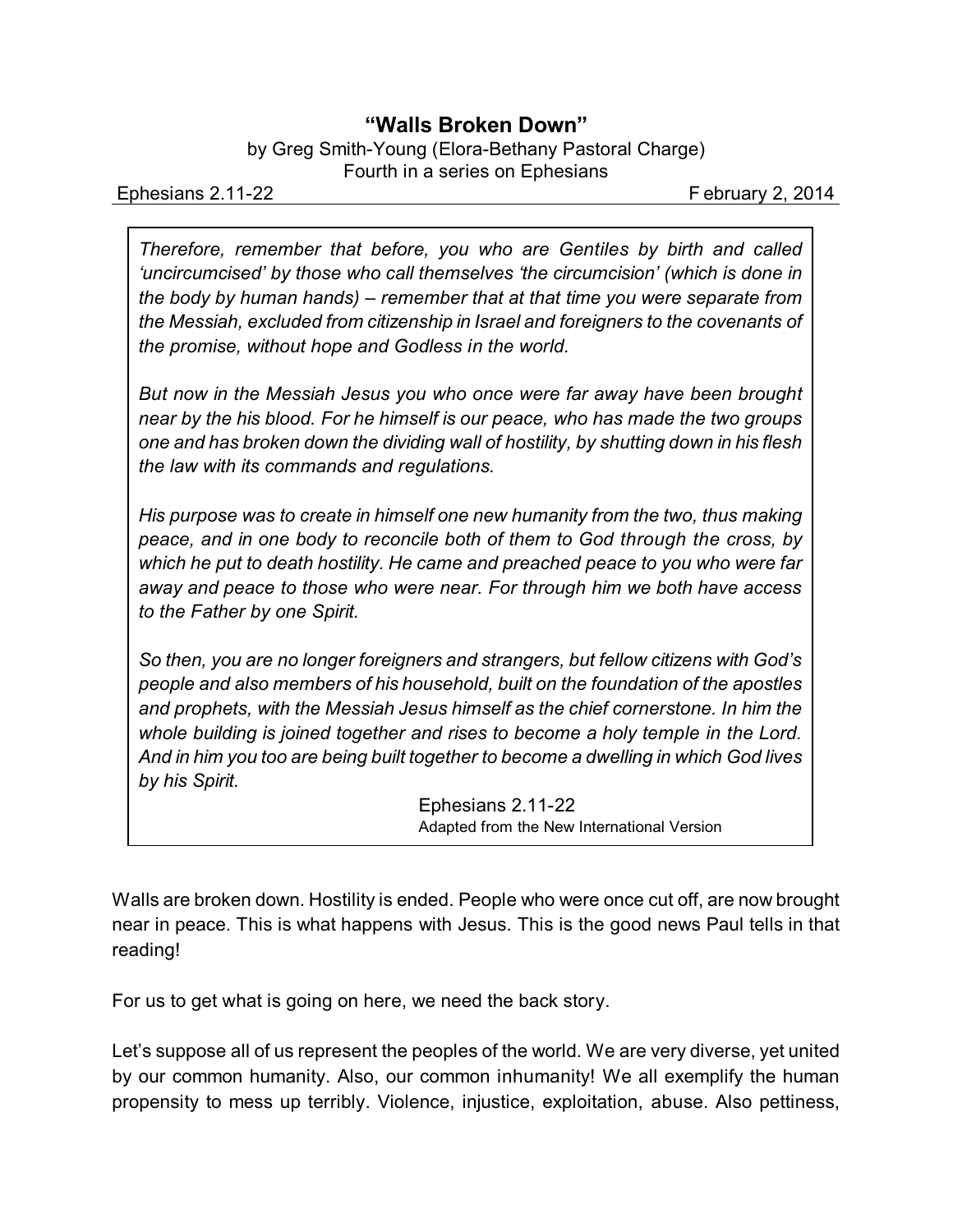## **"Walls Broken Down"**

by Greg Smith-Young (Elora-Bethany Pastoral Charge) Fourth in a series on Ephesians

Ephesians 2.11-22 **February 2, 2014** 

*Therefore, remember that before, you who are Gentiles by birth and called 'uncircumcised' by those who call themselves 'the circumcision' (which is done in the body by human hands) – remember that at that time you were separate from the Messiah, excluded from citizenship in Israel and foreigners to the covenants of the promise, without hope and Godless in the world.* 

*But now in the Messiah Jesus you who once were far away have been brought near by the his blood. For he himself is our peace, who has made the two groups one and has broken down the dividing wall of hostility, by shutting down in his flesh the law with its commands and regulations.* 

*His purpose was to create in himself one new humanity from the two, thus making peace, and in one body to reconcile both of them to God through the cross, by which he put to death hostility. He came and preached peace to you who were far away and peace to those who were near. For through him we both have access to the Father by one Spirit.*

*So then, you are no longer foreigners and strangers, but fellow citizens with God's people and also members of his household, built on the foundation of the apostles and prophets, with the Messiah Jesus himself as the chief cornerstone. In him the whole building is joined together and rises to become a holy temple in the Lord. And in him you too are being built together to become a dwelling in which God lives by his Spirit.*

> Ephesians 2.11-22 Adapted from the New International Version

Walls are broken down. Hostility is ended. People who were once cut off, are now brought near in peace. This is what happens with Jesus. This is the good news Paul tells in that reading!

For us to get what is going on here, we need the back story.

Let's suppose all of us represent the peoples of the world. We are very diverse, yet united by our common humanity. Also, our common inhumanity! We all exemplify the human propensity to mess up terribly. Violence, injustice, exploitation, abuse. Also pettiness,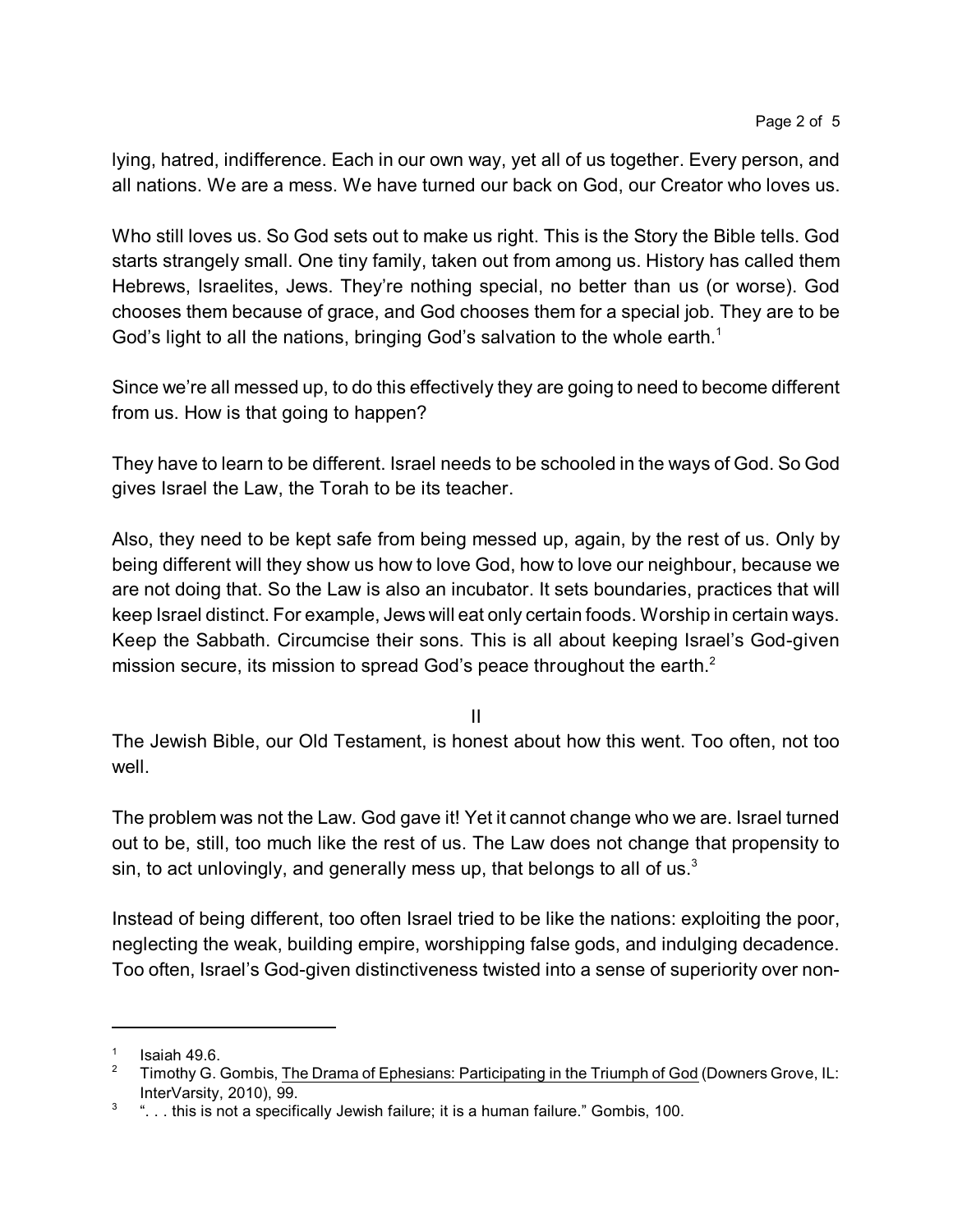lying, hatred, indifference. Each in our own way, yet all of us together. Every person, and all nations. We are a mess. We have turned our back on God, our Creator who loves us.

Who still loves us. So God sets out to make us right. This is the Story the Bible tells. God starts strangely small. One tiny family, taken out from among us. History has called them Hebrews, Israelites, Jews. They're nothing special, no better than us (or worse). God chooses them because of grace, and God chooses them for a special job. They are to be God's light to all the nations, bringing God's salvation to the whole earth.<sup>1</sup>

Since we're all messed up, to do this effectively they are going to need to become different from us. How is that going to happen?

They have to learn to be different. Israel needs to be schooled in the ways of God. So God gives Israel the Law, the Torah to be its teacher.

Also, they need to be kept safe from being messed up, again, by the rest of us. Only by being different will they show us how to love God, how to love our neighbour, because we are not doing that. So the Law is also an incubator. It sets boundaries, practices that will keep Israel distinct. For example, Jews will eat only certain foods. Worship in certain ways. Keep the Sabbath. Circumcise their sons. This is all about keeping Israel's God-given mission secure, its mission to spread God's peace throughout the earth. $2$ 

II

The Jewish Bible, our Old Testament, is honest about how this went. Too often, not too well.

The problem was not the Law. God gave it! Yet it cannot change who we are. Israel turned out to be, still, too much like the rest of us. The Law does not change that propensity to sin, to act unlovingly, and generally mess up, that belongs to all of us. $3$ 

Instead of being different, too often Israel tried to be like the nations: exploiting the poor, neglecting the weak, building empire, worshipping false gods, and indulging decadence. Too often, Israel's God-given distinctiveness twisted into a sense of superiority over non-

<sup>1</sup> Isaiah 49.6.

<sup>&</sup>lt;sup>2</sup> Timothy G. Gombis, The Drama of Ephesians: Participating in the Triumph of God (Downers Grove, IL: InterVarsity, 2010), 99.

 $3$   $\ldots$  this is not a specifically Jewish failure; it is a human failure." Gombis, 100.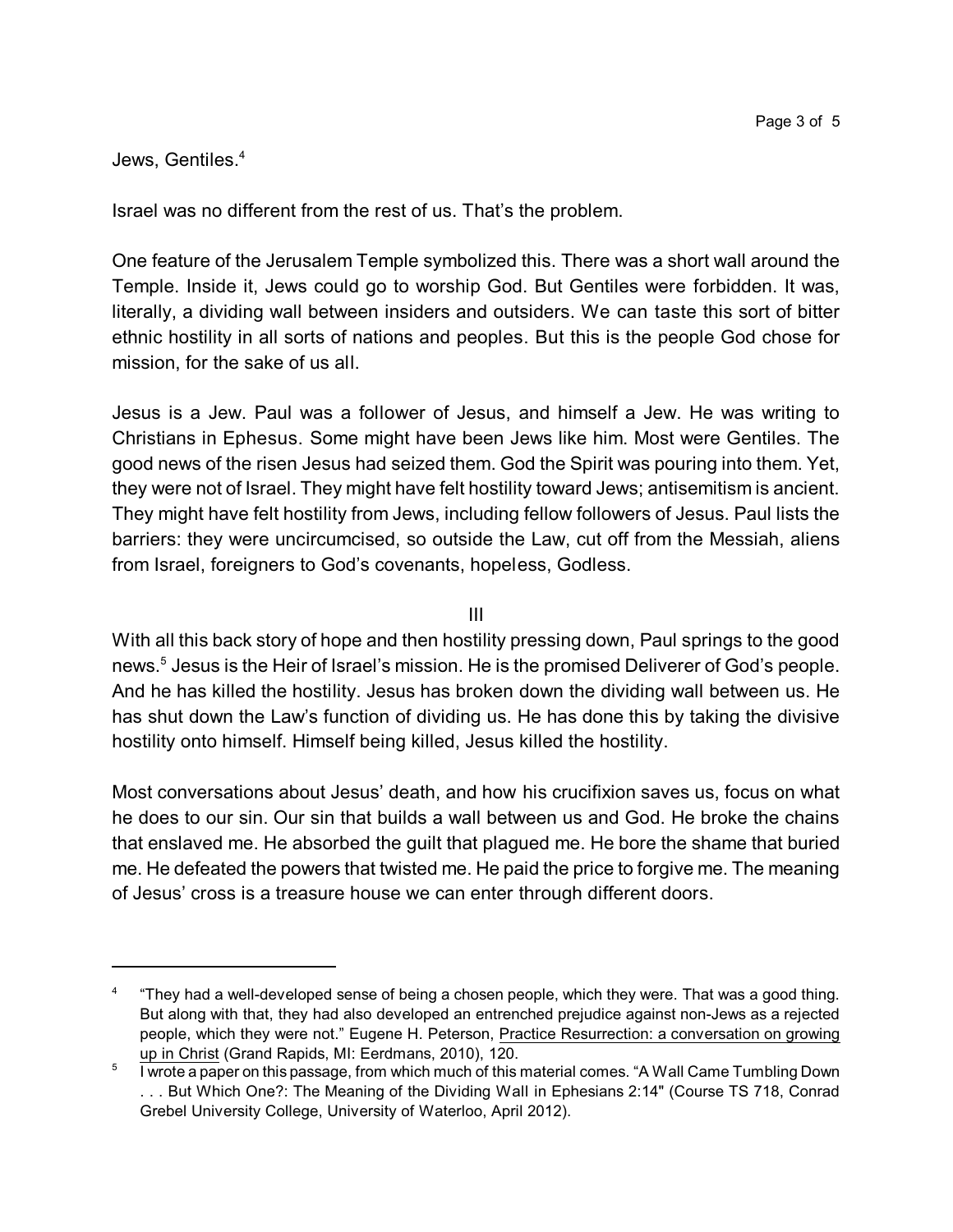## Jews, Gentiles.<sup>4</sup>

Israel was no different from the rest of us. That's the problem.

One feature of the Jerusalem Temple symbolized this. There was a short wall around the Temple. Inside it, Jews could go to worship God. But Gentiles were forbidden. It was, literally, a dividing wall between insiders and outsiders. We can taste this sort of bitter ethnic hostility in all sorts of nations and peoples. But this is the people God chose for mission, for the sake of us all.

Jesus is a Jew. Paul was a follower of Jesus, and himself a Jew. He was writing to Christians in Ephesus. Some might have been Jews like him. Most were Gentiles. The good news of the risen Jesus had seized them. God the Spirit was pouring into them. Yet, they were not of Israel. They might have felt hostility toward Jews; antisemitism is ancient. They might have felt hostility from Jews, including fellow followers of Jesus. Paul lists the barriers: they were uncircumcised, so outside the Law, cut off from the Messiah, aliens from Israel, foreigners to God's covenants, hopeless, Godless.

III

With all this back story of hope and then hostility pressing down, Paul springs to the good news. 5 Jesus is the Heir of Israel's mission. He is the promised Deliverer of God's people. And he has killed the hostility. Jesus has broken down the dividing wall between us. He has shut down the Law's function of dividing us. He has done this by taking the divisive hostility onto himself. Himself being killed, Jesus killed the hostility.

Most conversations about Jesus' death, and how his crucifixion saves us, focus on what he does to our sin. Our sin that builds a wall between us and God. He broke the chains that enslaved me. He absorbed the guilt that plagued me. He bore the shame that buried me. He defeated the powers that twisted me. He paid the price to forgive me. The meaning of Jesus' cross is a treasure house we can enter through different doors.

<sup>4</sup> "They had a well-developed sense of being a chosen people, which they were. That was a good thing. But along with that, they had also developed an entrenched prejudice against non-Jews as a rejected people, which they were not." Eugene H. Peterson, Practice Resurrection: a conversation on growing up in Christ (Grand Rapids, MI: Eerdmans, 2010), 120.

<sup>5</sup> I wrote a paper on this passage, from which much of this material comes. "A Wall Came Tumbling Down . . . But Which One?: The Meaning of the Dividing Wall in Ephesians 2:14" (Course TS 718, Conrad Grebel University College, University of Waterloo, April 2012).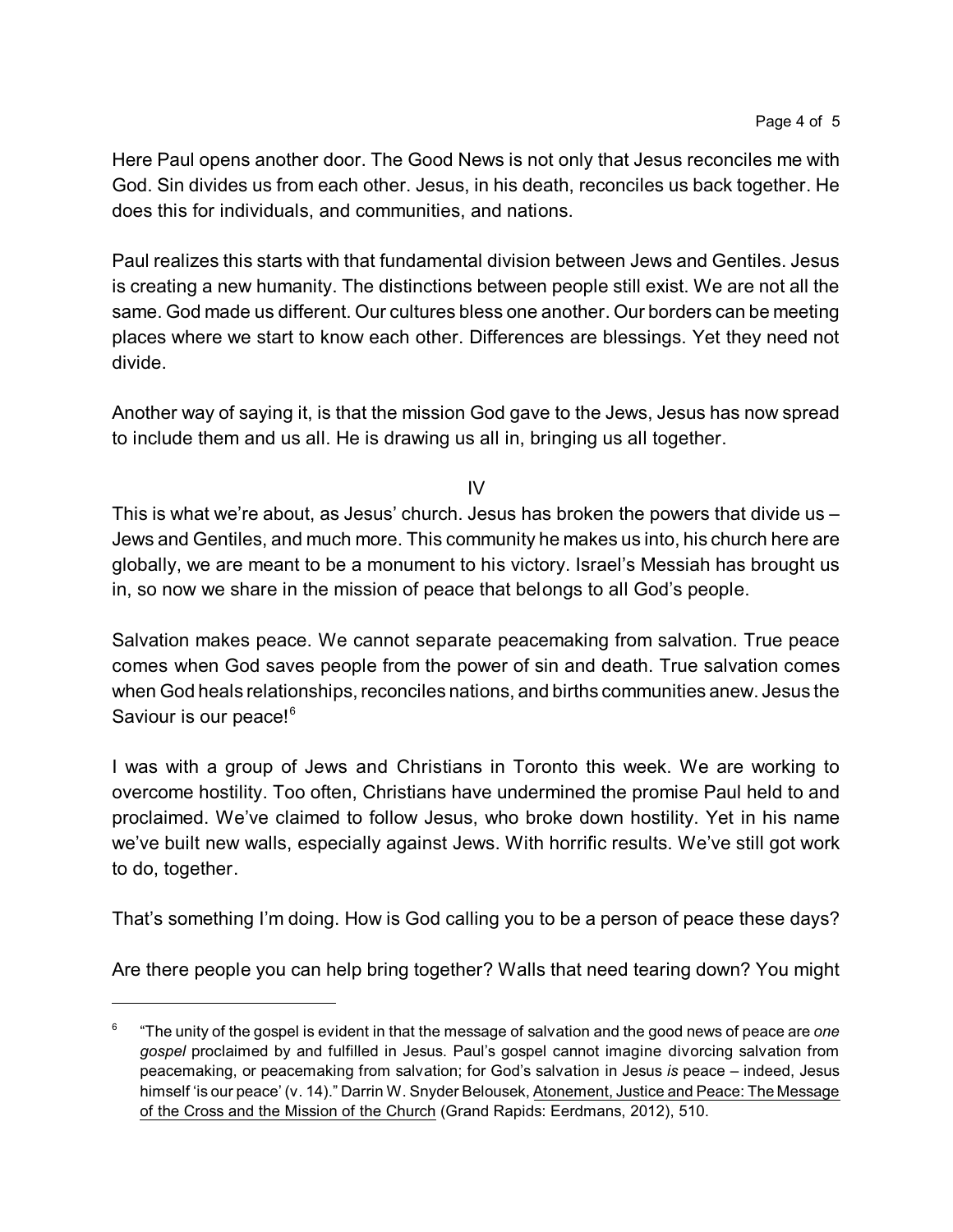Here Paul opens another door. The Good News is not only that Jesus reconciles me with God. Sin divides us from each other. Jesus, in his death, reconciles us back together. He does this for individuals, and communities, and nations.

Paul realizes this starts with that fundamental division between Jews and Gentiles. Jesus is creating a new humanity. The distinctions between people still exist. We are not all the same. God made us different. Our cultures bless one another. Our borders can be meeting places where we start to know each other. Differences are blessings. Yet they need not divide.

Another way of saying it, is that the mission God gave to the Jews, Jesus has now spread to include them and us all. He is drawing us all in, bringing us all together.

IV

This is what we're about, as Jesus' church. Jesus has broken the powers that divide us – Jews and Gentiles, and much more. This community he makes us into, his church here are globally, we are meant to be a monument to his victory. Israel's Messiah has brought us in, so now we share in the mission of peace that belongs to all God's people.

Salvation makes peace. We cannot separate peacemaking from salvation. True peace comes when God saves people from the power of sin and death. True salvation comes when God heals relationships, reconciles nations, and births communities anew. Jesus the Saviour is our peace!<sup>6</sup>

I was with a group of Jews and Christians in Toronto this week. We are working to overcome hostility. Too often, Christians have undermined the promise Paul held to and proclaimed. We've claimed to follow Jesus, who broke down hostility. Yet in his name we've built new walls, especially against Jews. With horrific results. We've still got work to do, together.

That's something I'm doing. How is God calling you to be a person of peace these days?

Are there people you can help bring together? Walls that need tearing down? You might

<sup>6</sup> "The unity of the gospel is evident in that the message of salvation and the good news of peace are *one gospel* proclaimed by and fulfilled in Jesus. Paul's gospel cannot imagine divorcing salvation from peacemaking, or peacemaking from salvation; for God's salvation in Jesus *is* peace – indeed, Jesus himself 'is our peace' (v. 14)." Darrin W. Snyder Belousek, Atonement, Justice and Peace: The Message of the Cross and the Mission of the Church (Grand Rapids: Eerdmans, 2012), 510.